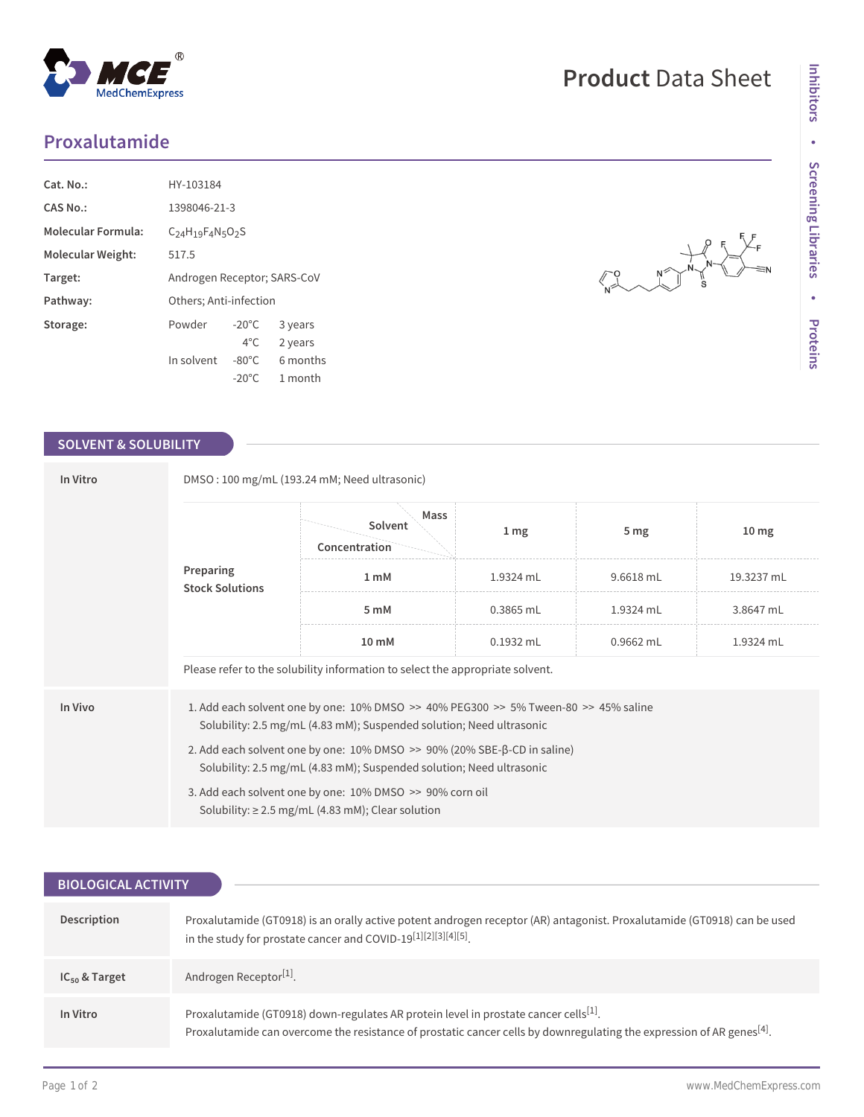## **Proxalutamide**

MedChemExpress

| $Cat. No.$ :             | HY-103184                   |                 |          |
|--------------------------|-----------------------------|-----------------|----------|
| CAS No.:                 | 1398046-21-3                |                 |          |
| Molecular Formula:       | $C24H19F4N5O2S$             |                 |          |
| <b>Molecular Weight:</b> | 517.5                       |                 |          |
| Target:                  | Androgen Receptor; SARS-CoV |                 |          |
| Pathway:                 | Others; Anti-infection      |                 |          |
| Storage:                 | Powder                      | $-20^{\circ}$ C | 3 years  |
|                          |                             | $4^{\circ}$ C.  | 2 years  |
|                          | In solvent                  | $-80^{\circ}$ C | 6 months |
|                          |                             | $-20^{\circ}$ C | 1 month  |

 $^{\circledR}$ 

## **SOLVENT & SOLUBILITY**

| In Vitro  | DMSO: 100 mg/mL (193.24 mM; Need ultrasonic)                                                                                                                    |                                  |             |                 |                  |  |
|-----------|-----------------------------------------------------------------------------------------------------------------------------------------------------------------|----------------------------------|-------------|-----------------|------------------|--|
| Preparing | <b>Stock Solutions</b>                                                                                                                                          | Mass<br>Solvent<br>Concentration | 1 mg        | 5 <sub>mg</sub> | 10 <sub>mg</sub> |  |
|           |                                                                                                                                                                 | 1 <sub>m</sub> M                 | 1.9324 mL   | 9.6618 mL       | 19.3237 mL       |  |
|           |                                                                                                                                                                 | 5 mM                             | $0.3865$ mL | 1.9324 mL       | 3.8647 mL        |  |
|           |                                                                                                                                                                 | $10 \text{ mM}$                  | $0.1932$ mL | $0.9662$ mL     | 1.9324 mL        |  |
|           | Please refer to the solubility information to select the appropriate solvent.                                                                                   |                                  |             |                 |                  |  |
| In Vivo   | 1. Add each solvent one by one: 10% DMSO >> 40% PEG300 >> 5% Tween-80 >> 45% saline<br>Solubility: 2.5 mg/mL (4.83 mM); Suspended solution; Need ultrasonic     |                                  |             |                 |                  |  |
|           | 2. Add each solvent one by one: $10\%$ DMSO $\geq$ 90% (20% SBE- $\beta$ -CD in saline)<br>Solubility: 2.5 mg/mL (4.83 mM); Suspended solution; Need ultrasonic |                                  |             |                 |                  |  |
|           | 3. Add each solvent one by one: 10% DMSO >> 90% corn oil<br>Solubility: $\geq 2.5$ mg/mL (4.83 mM); Clear solution                                              |                                  |             |                 |                  |  |

| <b>BIOLOGICAL ACTIVITY</b> |                                                                                                                                                                                                                                       |  |  |  |
|----------------------------|---------------------------------------------------------------------------------------------------------------------------------------------------------------------------------------------------------------------------------------|--|--|--|
|                            |                                                                                                                                                                                                                                       |  |  |  |
| Description                | Proxalutamide (GT0918) is an orally active potent androgen receptor (AR) antagonist. Proxalutamide (GT0918) can be used<br>in the study for prostate cancer and COVID-19[1][2][3][4][5].                                              |  |  |  |
| $IC_{50}$ & Target         | Androgen Receptor <sup>[1]</sup> .                                                                                                                                                                                                    |  |  |  |
| In Vitro                   | Proxalutamide (GT0918) down-regulates AR protein level in prostate cancer cells <sup>[1]</sup> .<br>Proxalutamide can overcome the resistance of prostatic cancer cells by downregulating the expression of AR genes <sup>[4]</sup> . |  |  |  |

## **Product** Data Sheet

 $\begin{picture}(180,10) \put(0,0){\line(1,0){150}} \put(15,0){\line(1,0){150}} \put(15,0){\line(1,0){150}} \put(15,0){\line(1,0){150}} \put(15,0){\line(1,0){150}} \put(15,0){\line(1,0){150}} \put(15,0){\line(1,0){150}} \put(15,0){\line(1,0){150}} \put(15,0){\line(1,0){150}} \put(15,0){\line(1,0){150}} \put(15,0){\line(1,0){150}}$ 

 $\begin{picture}(180,170) \put(0,0){\line(1,0){150}} \put(10,0){\line(1,0){150}} \put(10,0){\line(1,0){150}} \put(10,0){\line(1,0){150}} \put(10,0){\line(1,0){150}} \put(10,0){\line(1,0){150}} \put(10,0){\line(1,0){150}} \put(10,0){\line(1,0){150}} \put(10,0){\line(1,0){150}} \put(10,0){\line(1,0){150}} \put(10,0){\line(1,0){150$